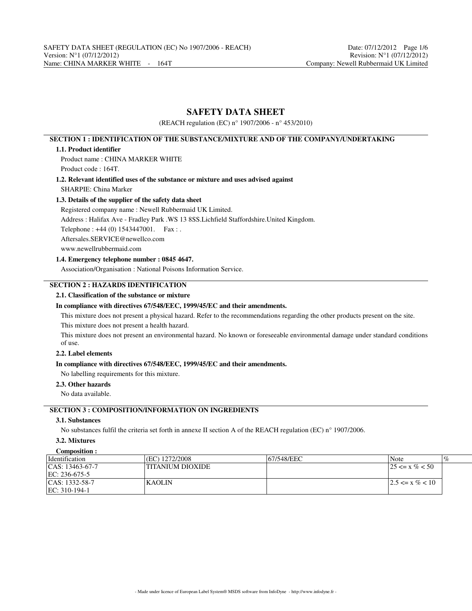# **SAFETY DATA SHEET**

(REACH regulation (EC) n° 1907/2006 - n° 453/2010)

# **SECTION 1 : IDENTIFICATION OF THE SUBSTANCE/MIXTURE AND OF THE COMPANY/UNDERTAKING**

## **1.1. Product identifier**

Product name : CHINA MARKER WHITE Product code : 164T.

**1.2. Relevant identified uses of the substance or mixture and uses advised against** SHARPIE: China Marker

## **1.3. Details of the supplier of the safety data sheet**

Registered company name : Newell Rubbermaid UK Limited.

Address : Halifax Ave - Fradley Park .WS 13 8SS.Lichfield Staffordshire.United Kingdom.

Telephone : +44 (0) 1543447001. Fax : .

Aftersales.SERVICE@newellco.com

www.newellrubbermaid.com

# **1.4. Emergency telephone number : 0845 4647.**

Association/Organisation : National Poisons Information Service.

# **SECTION 2 : HAZARDS IDENTIFICATION**

## **2.1. Classification of the substance or mixture**

## **In compliance with directives 67/548/EEC, 1999/45/EC and their amendments.**

This mixture does not present a physical hazard. Refer to the recommendations regarding the other products present on the site. This mixture does not present a health hazard.

This mixture does not present an environmental hazard. No known or foreseeable environmental damage under standard conditions of use.

# **2.2. Label elements**

## **In compliance with directives 67/548/EEC, 1999/45/EC and their amendments.**

No labelling requirements for this mixture.

## **2.3. Other hazards**

No data available.

# **SECTION 3 : COMPOSITION/INFORMATION ON INGREDIENTS**

## **3.1. Substances**

No substances fulfil the criteria set forth in annexe II section A of the REACH regulation (EC) n° 1907/2006.

# **3.2. Mixtures**

| Composition :        |                        |             |                       |
|----------------------|------------------------|-------------|-----------------------|
| <i>dentification</i> | $\left($ EC) 1272/2008 | 167/548/EEC | Note<br>$\%$          |
| $ CAS: 13463-67-7$   | ITITANIUM DIOXIDE      |             | $125 \le x \% \le 50$ |
| $EC: 236-675-5$      |                        |             |                       |
| $ CAS: 1332-58-7$    | KAOLIN                 |             | $12.5 \le x \% < 10$  |
| $ EC: 310-194-1$     |                        |             |                       |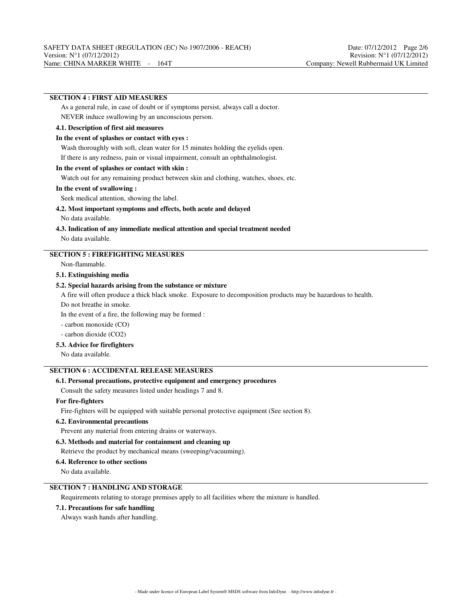## **SECTION 4 : FIRST AID MEASURES**

As a general rule, in case of doubt or if symptoms persist, always call a doctor.

NEVER induce swallowing by an unconscious person.

# **4.1. Description of first aid measures**

### **In the event of splashes or contact with eyes :**

Wash thoroughly with soft, clean water for 15 minutes holding the eyelids open.

If there is any redness, pain or visual impairment, consult an ophthalmologist.

### **In the event of splashes or contact with skin :**

Watch out for any remaining product between skin and clothing, watches, shoes, etc.

### **In the event of swallowing :**

Seek medical attention, showing the label.

# **4.2. Most important symptoms and effects, both acute and delayed**

No data available.

### **4.3. Indication of any immediate medical attention and special treatment needed** No data available.

# **SECTION 5 : FIREFIGHTING MEASURES**

Non-flammable.

### **5.1. Extinguishing media**

### **5.2. Special hazards arising from the substance or mixture**

A fire will often produce a thick black smoke. Exposure to decomposition products may be hazardous to health.

Do not breathe in smoke.

In the event of a fire, the following may be formed :

- carbon monoxide (CO)

- carbon dioxide (CO2)

## **5.3. Advice for firefighters**

No data available.

# **SECTION 6 : ACCIDENTAL RELEASE MEASURES**

## **6.1. Personal precautions, protective equipment and emergency procedures**

Consult the safety measures listed under headings 7 and 8.

### **For fire-fighters**

Fire-fighters will be equipped with suitable personal protective equipment (See section 8).

### **6.2. Environmental precautions**

Prevent any material from entering drains or waterways.

### **6.3. Methods and material for containment and cleaning up**

Retrieve the product by mechanical means (sweeping/vacuuming).

#### **6.4. Reference to other sections**

No data available.

# **SECTION 7 : HANDLING AND STORAGE**

Requirements relating to storage premises apply to all facilities where the mixture is handled.

## **7.1. Precautions for safe handling**

Always wash hands after handling.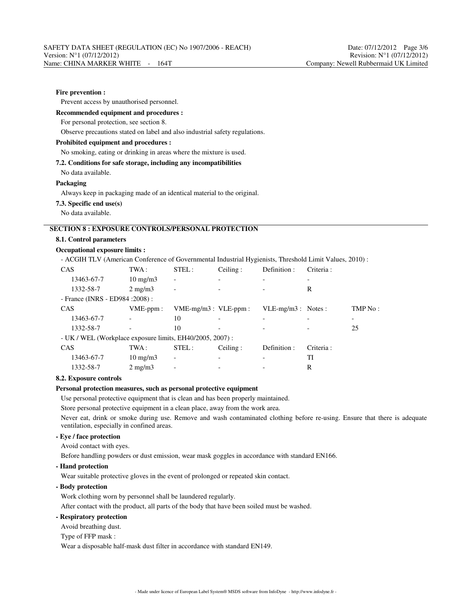### **Fire prevention :**

Prevent access by unauthorised personnel.

### **Recommended equipment and procedures :**

For personal protection, see section 8.

Observe precautions stated on label and also industrial safety regulations.

#### **Prohibited equipment and procedures :**

#### No smoking, eating or drinking in areas where the mixture is used.

**7.2. Conditions for safe storage, including any incompatibilities**

No data available.

#### **Packaging**

Always keep in packaging made of an identical material to the original.

#### **7.3. Specific end use(s)**

No data available.

# **SECTION 8 : EXPOSURE CONTROLS/PERSONAL PROTECTION**

### **8.1. Control parameters**

# **Occupational exposure limits :**

- ACGIH TLV (American Conference of Governmental Industrial Hygienists, Threshold Limit Values, 2010) :

| CAS                                                       | TWA:              | STEL:                        | Ceiling: | Definition :         | Criteria: |         |
|-----------------------------------------------------------|-------------------|------------------------------|----------|----------------------|-----------|---------|
| 13463-67-7                                                | $10 \text{ mg/m}$ | -                            |          |                      |           |         |
| 1332-58-7                                                 | $2 \text{ mg/m}$  | -                            |          |                      | R         |         |
| - France (INRS - ED984 : 2008) :                          |                   |                              |          |                      |           |         |
| CAS                                                       | $VME-ppm$ :       | $VME-mg/m3$ : $VLE-ppm$ :    |          | $VLE-mg/m3$ : Notes: |           | TMP No: |
| 13463-67-7                                                |                   | 10                           |          |                      |           |         |
| 1332-58-7                                                 |                   | 10                           |          |                      |           | 25      |
| - UK / WEL (Workplace exposure limits, EH40/2005, 2007) : |                   |                              |          |                      |           |         |
| CAS                                                       | TWA :             | STEL:                        | Ceiling: | Definition :         | Criteria: |         |
| 13463-67-7                                                | $10 \text{ mg/m}$ | $\qquad \qquad \blacksquare$ |          |                      | TI        |         |
| 1332-58-7                                                 | $2 \text{ mg/m}$  |                              |          |                      | R         |         |

#### **8.2. Exposure controls**

#### **Personal protection measures, such as personal protective equipment**

Use personal protective equipment that is clean and has been properly maintained.

Store personal protective equipment in a clean place, away from the work area.

Never eat, drink or smoke during use. Remove and wash contaminated clothing before re-using. Ensure that there is adequate ventilation, especially in confined areas.

## **- Eye / face protection**

Avoid contact with eyes.

Before handling powders or dust emission, wear mask goggles in accordance with standard EN166.

**- Hand protection**

Wear suitable protective gloves in the event of prolonged or repeated skin contact.

### **- Body protection**

Work clothing worn by personnel shall be laundered regularly.

After contact with the product, all parts of the body that have been soiled must be washed.

## **- Respiratory protection**

Avoid breathing dust.

Type of FFP mask :

Wear a disposable half-mask dust filter in accordance with standard EN149.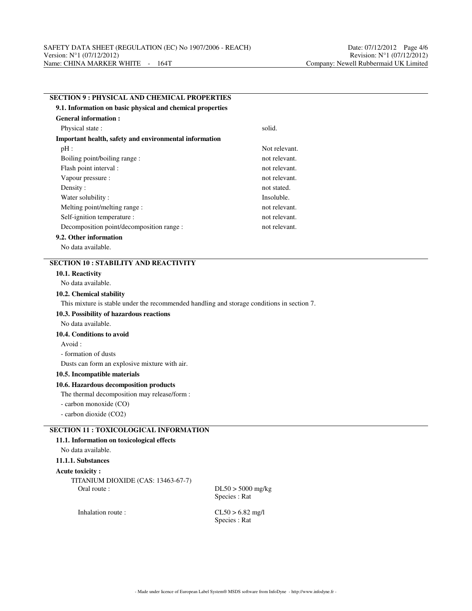| <b>SECTION 9: PHYSICAL AND CHEMICAL PROPERTIES</b>                                         |               |  |  |  |  |  |
|--------------------------------------------------------------------------------------------|---------------|--|--|--|--|--|
| 9.1. Information on basic physical and chemical properties                                 |               |  |  |  |  |  |
| <b>General information:</b>                                                                |               |  |  |  |  |  |
| Physical state:                                                                            | solid.        |  |  |  |  |  |
| Important health, safety and environmental information                                     |               |  |  |  |  |  |
| $pH$ :                                                                                     | Not relevant. |  |  |  |  |  |
| Boiling point/boiling range:                                                               | not relevant. |  |  |  |  |  |
| Flash point interval :                                                                     | not relevant. |  |  |  |  |  |
| Vapour pressure :                                                                          | not relevant. |  |  |  |  |  |
| Density:                                                                                   | not stated.   |  |  |  |  |  |
| Water solubility:                                                                          | Insoluble.    |  |  |  |  |  |
| Melting point/melting range:                                                               | not relevant. |  |  |  |  |  |
| Self-ignition temperature :                                                                | not relevant. |  |  |  |  |  |
| Decomposition point/decomposition range :                                                  | not relevant. |  |  |  |  |  |
| 9.2. Other information                                                                     |               |  |  |  |  |  |
| No data available.                                                                         |               |  |  |  |  |  |
| <b>SECTION 10: STABILITY AND REACTIVITY</b>                                                |               |  |  |  |  |  |
| 10.1. Reactivity                                                                           |               |  |  |  |  |  |
| No data available.                                                                         |               |  |  |  |  |  |
| 10.2. Chemical stability                                                                   |               |  |  |  |  |  |
| This mixture is stable under the recommended handling and storage conditions in section 7. |               |  |  |  |  |  |
| 10.3. Possibility of hazardous reactions                                                   |               |  |  |  |  |  |
| No data available.                                                                         |               |  |  |  |  |  |
| 10.4. Conditions to avoid                                                                  |               |  |  |  |  |  |
| Avoid :                                                                                    |               |  |  |  |  |  |
| - formation of dusts                                                                       |               |  |  |  |  |  |
| Dusts can form an explosive mixture with air.                                              |               |  |  |  |  |  |
| 10.5. Incompatible materials                                                               |               |  |  |  |  |  |
| 10.6. Hazardous decomposition products                                                     |               |  |  |  |  |  |
| The thermal decomposition may release/form :                                               |               |  |  |  |  |  |
| - carbon monoxide (CO)                                                                     |               |  |  |  |  |  |
| - carbon dioxide (CO2)                                                                     |               |  |  |  |  |  |
| <b>SECTION 11 : TOXICOLOGICAL INFORMATION</b>                                              |               |  |  |  |  |  |
| 11.1. Information on toxicological effects                                                 |               |  |  |  |  |  |
| No data available.                                                                         |               |  |  |  |  |  |
| 11.1.1. Substances                                                                         |               |  |  |  |  |  |
| <b>Acute toxicity:</b>                                                                     |               |  |  |  |  |  |
| TITANIUM DIOXIDE (CAS: 13463-67-7)                                                         |               |  |  |  |  |  |

Oral route :  $DL50 > 5000$  mg/kg

Species : Rat

Inhalation route : CL50 > 6.82 mg/l

Species : Rat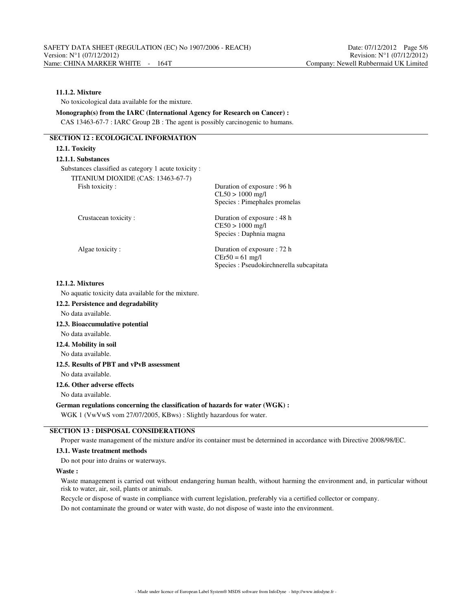# **11.1.2. Mixture**

No toxicological data available for the mixture.

**Monograph(s) from the IARC (International Agency for Research on Cancer) :** CAS 13463-67-7 : IARC Group 2B : The agent is possibly carcinogenic to humans.

# **SECTION 12 : ECOLOGICAL INFORMATION**

# **12.1. Toxicity 12.1.1. Substances** Substances classified as category 1 acute toxicity : TITANIUM DIOXIDE (CAS: 13463-67-7) Fish toxicity : Duration of exposure : 96 h CL50 > 1000 mg/l Species : Pimephales promelas Crustacean toxicity : Duration of exposure : 48 h CE50 > 1000 mg/l Species : Daphnia magna Algae toxicity : Duration of exposure : 72 h  $CEr50 = 61$  mg/l Species : Pseudokirchnerella subcapitata

### **12.1.2. Mixtures**

No aquatic toxicity data available for the mixture.

- **12.2. Persistence and degradability**
- No data available.

### **12.3. Bioaccumulative potential**

No data available.

# **12.4. Mobility in soil**

No data available.

## **12.5. Results of PBT and vPvB assessment**

No data available.

### **12.6. Other adverse effects**

No data available.

### **German regulations concerning the classification of hazards for water (WGK) :**

WGK 1 (VwVwS vom 27/07/2005, KBws) : Slightly hazardous for water.

# **SECTION 13 : DISPOSAL CONSIDERATIONS**

Proper waste management of the mixture and/or its container must be determined in accordance with Directive 2008/98/EC.

### **13.1. Waste treatment methods**

Do not pour into drains or waterways.

#### **Waste :**

Waste management is carried out without endangering human health, without harming the environment and, in particular without risk to water, air, soil, plants or animals.

Recycle or dispose of waste in compliance with current legislation, preferably via a certified collector or company.

Do not contaminate the ground or water with waste, do not dispose of waste into the environment.